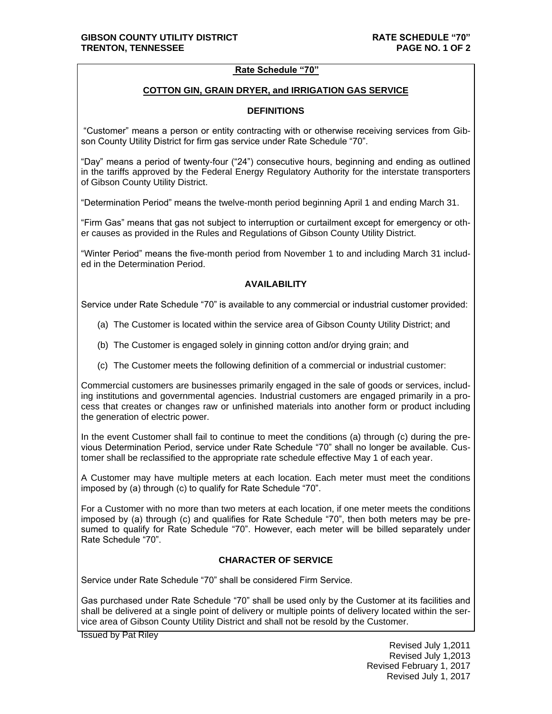### **Rate Schedule "70"**

### **COTTON GIN, GRAIN DRYER, and IRRIGATION GAS SERVICE**

## **DEFINITIONS**

"Customer" means a person or entity contracting with or otherwise receiving services from Gibson County Utility District for firm gas service under Rate Schedule "70".

"Day" means a period of twenty-four ("24") consecutive hours, beginning and ending as outlined in the tariffs approved by the Federal Energy Regulatory Authority for the interstate transporters of Gibson County Utility District.

"Determination Period" means the twelve-month period beginning April 1 and ending March 31.

"Firm Gas" means that gas not subject to interruption or curtailment except for emergency or other causes as provided in the Rules and Regulations of Gibson County Utility District.

"Winter Period" means the five-month period from November 1 to and including March 31 included in the Determination Period.

## **AVAILABILITY**

Service under Rate Schedule "70" is available to any commercial or industrial customer provided:

- (a) The Customer is located within the service area of Gibson County Utility District; and
- (b) The Customer is engaged solely in ginning cotton and/or drying grain; and
- (c) The Customer meets the following definition of a commercial or industrial customer:

Commercial customers are businesses primarily engaged in the sale of goods or services, including institutions and governmental agencies. Industrial customers are engaged primarily in a process that creates or changes raw or unfinished materials into another form or product including the generation of electric power.

In the event Customer shall fail to continue to meet the conditions (a) through (c) during the previous Determination Period, service under Rate Schedule "70" shall no longer be available. Customer shall be reclassified to the appropriate rate schedule effective May 1 of each year.

A Customer may have multiple meters at each location. Each meter must meet the conditions imposed by (a) through (c) to qualify for Rate Schedule "70".

For a Customer with no more than two meters at each location, if one meter meets the conditions imposed by (a) through (c) and qualifies for Rate Schedule "70", then both meters may be presumed to qualify for Rate Schedule "70". However, each meter will be billed separately under Rate Schedule "70".

# **CHARACTER OF SERVICE**

Service under Rate Schedule "70" shall be considered Firm Service.

Gas purchased under Rate Schedule "70" shall be used only by the Customer at its facilities and shall be delivered at a single point of delivery or multiple points of delivery located within the service area of Gibson County Utility District and shall not be resold by the Customer.

Issued by Pat Riley

Revised July 1,2011 Revised July 1,2013 Revised February 1, 2017 Revised July 1, 2017